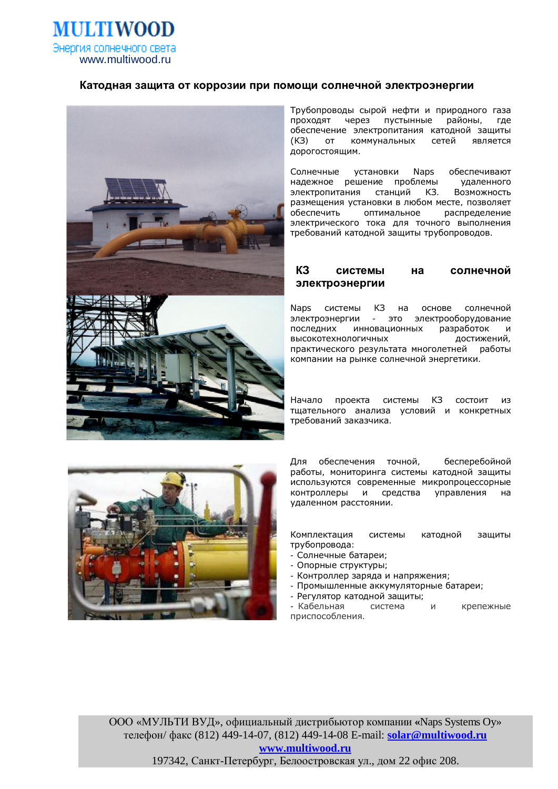

# Катодная защита от коррозии при помощи солнечной электроэнергии



Трубопроводы сырой нефти и природного газа проходят через пустынные районы, где обеспечение электропитания катодной защиты (K3) от коммунальных сетей является дорогостоящим.

Солнечные установки Naps обеспечивают надежное решение проблемы удаленного электропитания станций КЗ. Возможность размешения установки в любом месте, позволяет обеспечить оптимальное распределение электрического тока для точного выполнения требований катодной защиты трубопроводов.

# КЗ системы на солнечной **ЭЛЕКТРОЭНЕРГИИ**

Naps системы КЗ на основе солнечной электроэнергии - это электрооборудование последних инновационных разработок и высокотехнологичных достижений, практического результата многолетней работы компании на рынке солнечной энергетики.

Начало проекта системы КЗ состоит из тщательного анализа условий и конкретных требований заказчика.



Для обеспечения точной, бесперебойной работы, мониторинга системы катодной защиты используются современные микропроцессорные контроллеры и средства управления на удаленном расстоянии.

Комплектация системы катодной защиты трубопровода:

- Солнечные батареи;
- Опорные структуры;
- Контроллер заряда и напряжения;
- Промышленные аккумуляторные батареи;
- Регулятор катодной защиты;

- Кабельная система и крепежные приспособления.

ООО «МУЛЬТИ ВУД», официальный дистрибьютор компании «Naps Systems Oy» телефон/ факс (812) 449-14-07, (812) 449-14-08 E-mail: **[solar@multiwood.ru](mailto:solar@multiwood.ru) [www.multiwood.ru](http://www.multiwood.ru)**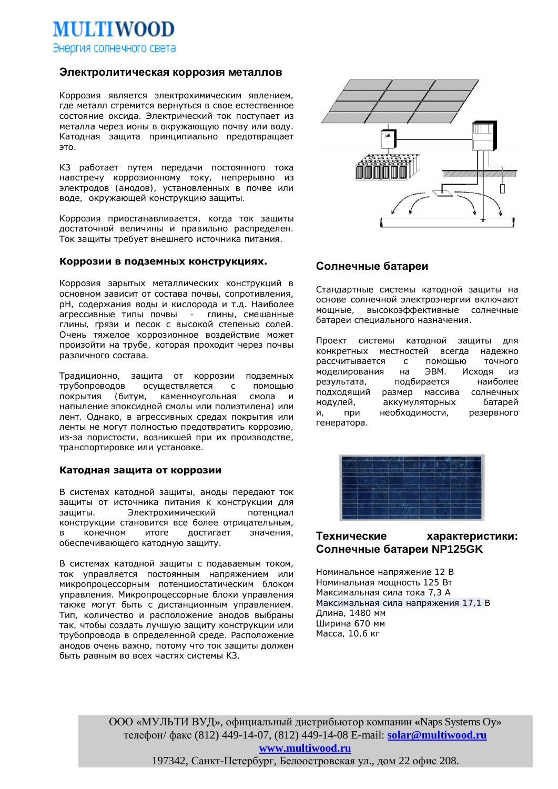Энергия солнечного света

**MULTIWOOD** 

## Электролитическая коррозия металлов

Коррозия является электрохимическим явлением, где металл стремится вернуться в свое естественное состояние оксида. Электрический ток поступает из металла через ионы в окружающую почву или воду. Катодная защита принципиально предотвращает  $3T<sub>O</sub>$ .

КЗ работает путем передачи постоянного тока навстречу коррозионному току, непрерывно из электродов (анодов), установленных в почве или воде, окружающей конструкцию защиты.

Коррозия приостанавливается, когда ток защиты достаточной величины и правильно распределен. Ток защиты требует внешнего источника питания.

## Коррозии в подземных конструкциях.

Коррозия зарытых металлических конструкций в основном зависит от состава почвы, сопротивления, рН, содержания воды и кислорода и т.д. Наиболее агрессивные типы почвы - глины, смешанные глины, грязи и песок с высокой степенью солей. Очень тяжелое коррозионное воздействие может произойти на трубе, которая проходит через почвы различного состава.

Традиционно, защита от коррозии подземных трубопроводов осуществляется с помощью покрытия (битум, каменноугольная смола и напыление эпоксидной смолы или полиэтилена) или лент. Однако, в агрессивных средах покрытия или ленты не могут полностью предотвратить коррозию, из-за пористости, возникшей при их производстве, транспортировке или установке.

### Катодная защита от коррозии

В системах катодной защиты, аноды передают ток защиты от источника питания к конструкции для защиты. Электрохимический потенциал конструкции становится все более отрицательным. в конечном итоге достигает значения, обеспечивающего катодную защиту.

В системах катодной защиты с подаваемым током, ток управляется постоянным напряжением или МИКРОПРОЦЕССОРНЫМ ПОТЕНЦИОСТАТИЧЕСКИМ блоком управления. Микропроцессорные блоки управления также могут быть с дистанционным управлением. Тип, количество и расположение анодов выбраны так, чтобы создать лучшую защиту конструкции или трубопровода в определенной среде. Расположение анодов очень важно, потому что ток защиты должен быть равным во всех частях системы КЗ.



# Солнечные батареи

Стандартные системы катодной защиты на основе солнечной электроэнергии включают мощные, высокоэффективные солнечные батареи специального назначения.

Проект системы катодной защиты для конкретных местностей всегда надежно рассчитывается с помощью точного моделирования на ЭВМ. Исходя из результата, подбирается наиболее подходящий размер массива солнечных модулей, аккумуляторных батарей и, при необходимости, резервного генератора.



# Технические характеристики: **ɋɨɥɧɟɱɧɵɟɛɚɬɚɪɟɢ NP125GK**

Номинальное напряжение 12 В Номинальная мощность 125 Вт Максимальная сила тока 7.3 A Максимальная сила напряжения 17,1 В Длина, 1480 мм Ширина 670 мм Масса, 10,6 кг

ООО «МУЛЬТИ ВУД», официальный дистрибьютор компании «Naps Systems Oy» телефон/ факс (812) 449-14-07, (812) 449-14-08 E-mail: **[solar@multiwood.ru](mailto:solar@multiwood.ru) [www.multiwood.ru](http://www.multiwood.ru)**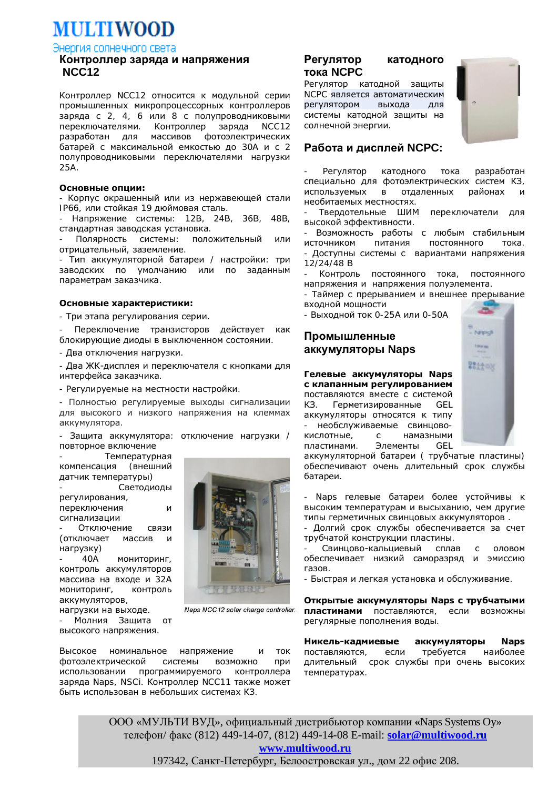**MULTIWOOD** 

Энергия солнечного света

# Контроллер заряда и напряжения  **NCC12**

Контроллер NCC12 относится к модульной серии промышленных микропроцессорных контроллеров заряда с 2, 4, 6 или 8 с полупроводниковыми переключателями. Контроллер заряда NCC12 разработан для массивов фотоэлектрических батарей с максимальной емкостью до 30А и с 2 полупроводниковыми переключателями нагрузки 25A.

### **ǶșȕȖȊȕȣȍȖȗȞȐȐ:**

- Корпус окрашенный или из нержавеющей стали IP66, или стойкая 19 дюймовая сталь.

Напряжение системы: 12В, 24В, 36В, 48В, стандартная заводская установка.

Полярность системы: положительный или отрицательный, заземление.

- Тип аккумуляторной батареи / настройки: три заводских по умолчанию или по заданным параметрам заказчика.

## Основные характеристики:

- Три этапа регулирования серии.

Переключение транзисторов действует как блокирующие диоды в выключенном состоянии.

- Два отключения нагрузки.

- Два ЖК-дисплея и переключателя с кнопками для интерфейса заказчика.

- Регулируемые на местности настройки.

- Полностью регулируемые выходы сигнализации для высокого и низкого напряжения на клеммах аккумулятора.

Защита аккумулятора: отключение нагрузки / повторное включение

Температурная<br><sub>4</sub>ия (внешний компенсация датчик температуры)

Светодиоды регулирования, переключения и

сигнализации Отключение связи (отключает массив и

нагрузку) 40A мониторинг,

контроль аккумуляторов массива на входе и 32А МОНИТОРИНГ. КОНТРОЛЬ аккумуляторов,

нагрузки на выходе. Молния Защита от высокого напряжения.

**TERENTI** 

Naps NCC12 solar charge controller.

Высокое номинальное напряжение и ток фотоэлектрической системы возможно при использовании программируемого контроллера заряда Naps, NSCi. Контроллер NCC11 также может быть использован в небольших системах КЗ.

# Регулятор катодного **ТОКА NCPC**

Регулятор катодной защиты NCPC является автоматическим регулятором выхода для системы катодной защиты на солнечной энергии.



## Работа и дисплей NCPC:

Регулятор катодного тока разработан специально для фотоэлектрических систем КЗ, используемых в отдаленных районах и необитаемых местностях.

Твердотельные ШИМ переключатели для высокой эффективности.

- Возможность работы с любым стабильным источником питания постоянного тока. - Доступны системы с вариантами напряжения 12/24/48 Ǫ

Контроль постоянного тока, постоянного напряжения и напряжения полуэлемента.

- Таймер с прерыванием и внешнее прерывание входной мощности

- Выходной ток 0-25А или 0-50А

## Промышленные **ɚɤɤɭɦɭɥɹɬɨɪɵ Naps**

**Гелевые аккумуляторы** Naps с клапанным регулированием поставляются вместе с системой K3. Герметизированные GEL аккумуляторы относятся к типу необслуживаемые свинцовокислотные, с намазными



пластинами. Элементы GEL аккумуляторной батареи ( трубчатые пластины) обеспечивают очень длительный срок службы батареи.

- Naps гелевые батареи более устойчивы к высоким температурам и высыханию, чем другие типы герметичных свинцовых аккумуляторов.

- Долгий срок службы обеспечивается за счет трубчатой конструкции пластины.

Свинцово-кальциевый сплав с оловом обеспечивает низкий саморазряд и эмиссию газов.

- Быстрая и легкая установка и обслуживание.

**Открытые аккумуляторы Naps с трубчатыми** пластинами поставляются, если возможны регулярные пополнения воды.

**Никель-кадмиевые аккумуляторы** Naps поставляются, если требуется наиболее длительный срок службы при очень высоких температурах.

ООО «МУЛЬТИ ВУД», официальный дистрибьютор компании «Naps Systems Oy» телефон/ факс (812) 449-14-07, (812) 449-14-08 E-mail: **[solar@multiwood.ru](mailto:solar@multiwood.ru) [www.multiwood.ru](http://www.multiwood.ru)**